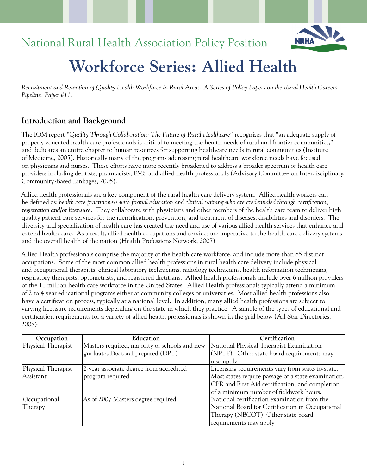## National Rural Health Association Policy Position



# **Workforce Series: Allied Health**

*Recruitment and Retention of Quality Health Workforce in Rural Areas: A Series of Policy Papers on the Rural Health Careers Pipeline, Paper #11.*

## **Introduction and Background**

The IOM report *"Quality Through Collaboration: The Future of Rural Healthcare"* recognizes that "an adequate supply of properly educated health care professionals is critical to meeting the health needs of rural and frontier communities," and dedicates an entire chapter to human resources for supporting healthcare needs in rural communities (Institute of Medicine, 2005). Historically many of the programs addressing rural healthcare workforce needs have focused on physicians and nurses. These efforts have more recently broadened to address a broader spectrum of health care providers including dentists, pharmacists, EMS and allied health professionals (Advisory Committee on Interdisciplinary, Community-Based Linkages, 2005).

Allied health professionals are a key component of the rural health care delivery system. Allied health workers can be defined as: *health care practitioners with formal education and clinical training who are credentialed through certification, registration and/or licensure.* They collaborate with physicians and other members of the health care team to deliver high quality patient care services for the identification, prevention, and treatment of diseases, disabilities and disorders. The diversity and specialization of health care has created the need and use of various allied health services that enhance and extend health care. As a result, allied health occupations and services are imperative to the health care delivery systems and the overall health of the nation (Health Professions Network, 2007)

Allied Health professionals comprise the majority of the health care workforce, and include more than 85 distinct occupations. Some of the most common allied health professions in rural health care delivery include physical and occupational therapists, clinical laboratory technicians, radiology technicians, health information technicians, respiratory therapists, optometrists, and registered dietitians. Allied health professionals include over 6 million providers of the 11 million health care workforce in the United States. Allied Health professionals typically attend a minimum of 2 to 4 year educational programs either at community colleges or universities. Most allied health professions also have a certification process, typically at a national level. In addition, many allied health professions are subject to varying licensure requirements depending on the state in which they practice. A sample of the types of educational and certification requirements for a variety of allied health professionals is shown in the grid below (All Star Directories, 2008):

| Occupation         | Education                                     | Certification                                       |
|--------------------|-----------------------------------------------|-----------------------------------------------------|
| Physical Therapist | Masters required, majority of schools and new | National Physical Therapist Examination             |
|                    | graduates Doctoral prepared (DPT).            | (NPTE). Other state board requirements may          |
|                    |                                               | also apply                                          |
| Physical Therapist | 2-year associate degree from accredited       | Licensing requirements vary from state-to-state.    |
| Assistant          | program required.                             | Most states require passage of a state examination, |
|                    |                                               | CPR and First Aid certification, and completion     |
|                    |                                               | of a minimum number of fieldwork hours.             |
| Occupational       | As of 2007 Masters degree required.           | National certification examination from the         |
| Therapy            |                                               | National Board for Certification in Occupational    |
|                    |                                               | Therapy (NBCOT). Other state board                  |
|                    |                                               | requirements may apply                              |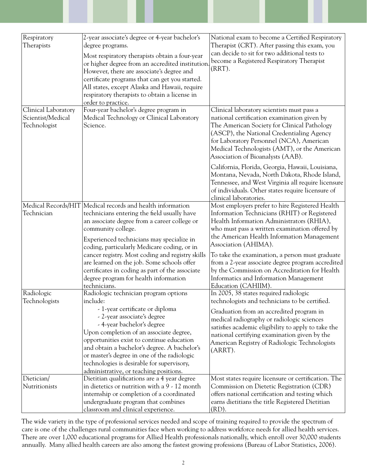| Respiratory<br>Therapists                                | 2-year associate's degree or 4-year bachelor's<br>degree programs.<br>Most respiratory therapists obtain a four-year<br>or higher degree from an accredited institution<br>However, there are associate's degree and<br>certificate programs that can get you started.<br>All states, except Alaska and Hawaii, require<br>respiratory therapists to obtain a license in<br>order to practice.                                                                              | National exam to become a Certified Respiratory<br>Therapist (CRT). After passing this exam, you<br>can decide to sit for two additional tests to<br>become a Registered Respiratory Therapist<br>$(RRT)$ .                                                                                                                                                                                                                                                             |
|----------------------------------------------------------|-----------------------------------------------------------------------------------------------------------------------------------------------------------------------------------------------------------------------------------------------------------------------------------------------------------------------------------------------------------------------------------------------------------------------------------------------------------------------------|-------------------------------------------------------------------------------------------------------------------------------------------------------------------------------------------------------------------------------------------------------------------------------------------------------------------------------------------------------------------------------------------------------------------------------------------------------------------------|
| Clinical Laboratory<br>Scientist/Medical<br>Technologist | Four-year bachelor's degree program in<br>Medical Technology or Clinical Laboratory<br>Science.                                                                                                                                                                                                                                                                                                                                                                             | Clinical laboratory scientists must pass a<br>national certification examination given by<br>The American Society for Clinical Pathology<br>(ASCP), the National Credentialing Agency<br>for Laboratory Personnel (NCA), American<br>Medical Technologists (AMT), or the American<br>Association of Bioanalysts (AAB).                                                                                                                                                  |
|                                                          |                                                                                                                                                                                                                                                                                                                                                                                                                                                                             | California, Florida, Georgia, Hawaii, Louisiana,<br>Montana, Nevada, North Dakota, Rhode Island,<br>Tennessee, and West Virginia all require licensure<br>of individuals. Other states require licensure of<br>clinical laboratories.                                                                                                                                                                                                                                   |
| Technician                                               | Medical Records/HIT   Medical records and health information<br>technicians entering the field usually have<br>an associate degree from a career college or<br>community college.<br>Experienced technicians may specialize in<br>coding, particularly Medicare coding, or in<br>cancer registry. Most coding and registry skills<br>are learned on the job. Some schools offer<br>certificates in coding as part of the associate<br>degree program for health information | Most employers prefer to hire Registered Health<br>Information Technicians (RHIT) or Registered<br>Health Information Administrators (RHIA),<br>who must pass a written examination offered by<br>the American Health Information Management<br>Association (AHIMA).<br>To take the examination, a person must graduate<br>from a 2-year associate degree program accredited<br>by the Commission on Accreditation for Health<br>Informatics and Information Management |
| Radiologic<br>Technologists                              | technicians.<br>Radiologic technician program options<br>include:<br>- 1-year certificate or diploma<br>- 2-year associate's degree<br>- 4-year bachelor's degree<br>Upon completion of an associate degree,<br>opportunities exist to continue education<br>and obtain a bachelor's degree. A bachelor's<br>or master's degree in one of the radiologic<br>technologies is desirable for supervisory,<br>administrative, or teaching positions.                            | Education (CAHIIM).<br>In 2005, 38 states required radiologic<br>technologists and technicians to be certified.<br>Graduation from an accredited program in<br>medical radiography or radiologic sciences<br>satisfies academic eligibility to apply to take the<br>national certifying examination given by the<br>American Registry of Radiologic Technologists<br>$(ARRT)$ .                                                                                         |
| Dietician/<br>Nutritionists                              | Dietitian qualifications are a 4 year degree<br>in dietetics or nutrition with a 9 - 12 month<br>internship or completion of a coordinated<br>undergraduate program that combines<br>classroom and clinical experience.                                                                                                                                                                                                                                                     | Most states require licensure or certification. The<br>Commission on Dietetic Registration (CDR)<br>offers national certification and testing which<br>earns dietitians the title Registered Dietitian<br>$(RD)$ .                                                                                                                                                                                                                                                      |

The wide variety in the type of professional services needed and scope of training required to provide the spectrum of care is one of the challenges rural communities face when working to address workforce needs for allied health services. There are over 1,000 educational programs for Allied Health professionals nationally, which enroll over 30,000 students annually. Many allied health careers are also among the fastest growing professions (Bureau of Labor Statistics, 2006).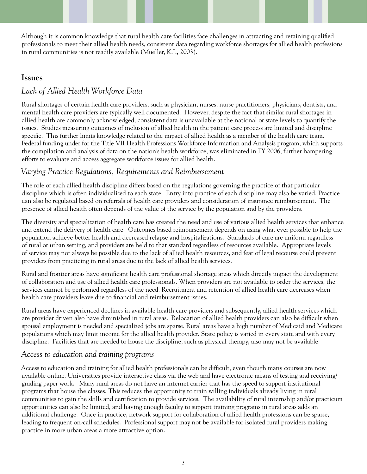Although it is common knowledge that rural health care facilities face challenges in attracting and retaining qualified professionals to meet their allied health needs, consistent data regarding workforce shortages for allied health professions in rural communities is not readily available (Mueller, K.J., 2003).

#### **Issues**

#### *Lack of Allied Health Workforce Data*

Rural shortages of certain health care providers, such as physician, nurses, nurse practitioners, physicians, dentists, and mental health care providers are typically well documented. However, despite the fact that similar rural shortages in allied health are commonly acknowledged, consistent data is unavailable at the national or state levels to quantify the issues. Studies measuring outcomes of inclusion of allied health in the patient care process are limited and discipline specific. This further limits knowledge related to the impact of allied health as a member of the health care team. Federal funding under for the Title VII Health Professions Workforce Information and Analysis program, which supports the compilation and analysis of data on the nation's health workforce, was eliminated in FY 2006, further hampering efforts to evaluate and access aggregate workforce issues for allied health.

#### *Varying Practice Regulations, Requirements and Reimbursement*

The role of each allied health discipline differs based on the regulations governing the practice of that particular discipline which is often individualized to each state. Entry into practice of each discipline may also be varied. Practice can also be regulated based on referrals of health care providers and consideration of insurance reimbursement. The presence of allied health often depends of the value of the service by the population and by the providers.

The diversity and specialization of health care has created the need and use of various allied health services that enhance and extend the delivery of health care. Outcomes based reimbursement depends on using what ever possible to help the population achieve better health and decreased relapse and hospitalizations. Standards of care are uniform regardless of rural or urban setting, and providers are held to that standard regardless of resources available. Appropriate levels of service may not always be possible due to the lack of allied health resources, and fear of legal recourse could prevent providers from practicing in rural areas due to the lack of allied health services.

Rural and frontier areas have significant health care professional shortage areas which directly impact the development of collaboration and use of allied health care professionals. When providers are not available to order the services, the services cannot be performed regardless of the need. Recruitment and retention of allied health care decreases when health care providers leave due to financial and reimbursement issues.

Rural areas have experienced declines in available health care providers and subsequently, allied health services which are provider driven also have diminished in rural areas. Relocation of allied health providers can also be difficult when spousal employment is needed and specialized jobs are sparse. Rural areas have a high number of Medicaid and Medicare populations which may limit income for the allied health provider. State policy is varied in every state and with every discipline. Facilities that are needed to house the discipline, such as physical therapy, also may not be available.

#### *Access to education and training programs*

Access to education and training for allied health professionals can be difficult, even though many courses are now available online. Universities provide interactive class via the web and have electronic means of testing and receiving/ grading paper work. Many rural areas do not have an internet carrier that has the speed to support institutional programs that house the classes. This reduces the opportunity to train willing individuals already living in rural communities to gain the skills and certification to provide services. The availability of rural internship and/or practicum opportunities can also be limited, and having enough faculty to support training programs in rural areas adds an additional challenge. Once in practice, network support for collaboration of allied health professions can be sparse, leading to frequent on-call schedules. Professional support may not be available for isolated rural providers making practice in more urban areas a more attractive option.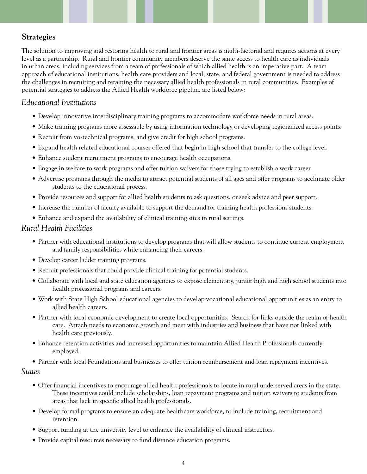## **Strategies**

The solution to improving and restoring health to rural and frontier areas is multi-factorial and requires actions at every level as a partnership. Rural and frontier community members deserve the same access to health care as individuals in urban areas, including services from a team of professionals of which allied health is an imperative part. A team approach of educational institutions, health care providers and local, state, and federal government is needed to address the challenges in recruiting and retaining the necessary allied health professionals in rural communities. Examples of potential strategies to address the Allied Health workforce pipeline are listed below:

#### *Educational Institutions*

- Develop innovative interdisciplinary training programs to accommodate workforce needs in rural areas.
- Make training programs more assessable by using information technology or developing regionalized access points.
- Recruit from vo-technical programs, and give credit for high school programs.
- Expand health related educational courses offered that begin in high school that transfer to the college level.
- Enhance student recruitment programs to encourage health occupations.
- Engage in welfare to work programs and offer tuition waivers for those trying to establish a work career.
- Advertise programs through the media to attract potential students of all ages and offer programs to acclimate older students to the educational process.
- Provide resources and support for allied health students to ask questions, or seek advice and peer support.
- Increase the number of faculty available to support the demand for training health professions students.
- Enhance and expand the availability of clinical training sites in rural settings.

#### *Rural Health Facilities*

- Partner with educational institutions to develop programs that will allow students to continue current employment and family responsibilities while enhancing their careers.
- Develop career ladder training programs.
- Recruit professionals that could provide clinical training for potential students.
- Collaborate with local and state education agencies to expose elementary, junior high and high school students into health professional programs and careers.
- Work with State High School educational agencies to develop vocational educational opportunities as an entry to allied health careers.
- Partner with local economic development to create local opportunities. Search for links outside the realm of health care. Attach needs to economic growth and meet with industries and business that have not linked with health care previously.
- Enhance retention activities and increased opportunities to maintain Allied Health Professionals currently employed.
- Partner with local Foundations and businesses to offer tuition reimbursement and loan repayment incentives.

#### *States*

- Offer financial incentives to encourage allied health professionals to locate in rural underserved areas in the state. These incentives could include scholarships, loan repayment programs and tuition waivers to students from areas that lack in specific allied health professionals.
- Develop formal programs to ensure an adequate healthcare workforce, to include training, recruitment and retention.
- Support funding at the university level to enhance the availability of clinical instructors.
- Provide capital resources necessary to fund distance education programs.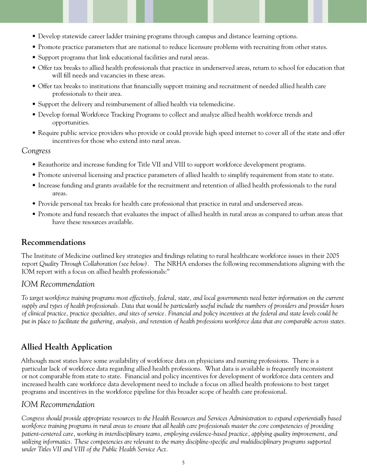- Develop statewide career ladder training programs through campus and distance learning options.
- Promote practice parameters that are national to reduce licensure problems with recruiting from other states.
- Support programs that link educational facilities and rural areas.
- Offer tax breaks to allied health professionals that practice in underserved areas, return to school for education that will fill needs and vacancies in these areas.
- Offer tax breaks to institutions that financially support training and recruitment of needed allied health care professionals to their area.
- Support the delivery and reimbursement of allied health via telemedicine.
- Develop formal Workforce Tracking Programs to collect and analyze allied health workforce trends and opportunities.
- Require public service providers who provide or could provide high speed internet to cover all of the state and offer incentives for those who extend into rural areas.

#### *Congress*

- Reauthorize and increase funding for Title VII and VIII to support workforce development programs.
- Promote universal licensing and practice parameters of allied health to simplify requirement from state to state.
- Increase funding and grants available for the recruitment and retention of allied health professionals to the rural areas.
- Provide personal tax breaks for health care professional that practice in rural and underserved areas.
- Promote and fund research that evaluates the impact of allied health in rural areas as compared to urban areas that have these resources available.

## **Recommendations**

The Institute of Medicine outlined key strategies and findings relating to rural healthcare workforce issues in their 2005 report *Quality Through Collaboration (see below).* The NRHA endorses the following recommendations aligning with the IOM report with a focus on allied health professionals:''

## *IOM Recommendation*

*To target workforce training programs most effectively, federal, state, and local governments need better information on the current supply and types of health professionals. Data that would be particularly useful include the numbers of providers and provider hours of clinical practice, practice specialties, and sites of service. Financial and policy incentives at the federal and state levels could be put in place to facilitate the gathering, analysis, and retention of health professions workforce data that are comparable across states.*

## **Allied Health Application**

Although most states have some availability of workforce data on physicians and nursing professions. There is a particular lack of workforce data regarding allied health professions. What data is available is frequently inconsistent or not comparable from state to state. Financial and policy incentives for development of workforce data centers and increased health care workforce data development need to include a focus on allied health professions to best target programs and incentives in the workforce pipeline for this broader scope of health care professional.

## *IOM Recommendation*

*Congress should provide appropriate resources to the Health Resources and Services Administration to expand experientially based workforce training programs in rural areas to ensure that all health care professionals master the core competencies of providing patient-centered care, working in interdisciplinary teams, employing evidence-based practice, applying quality improvement, and utilizing informatics. These competencies are relevant to the many discipline-specific and multidisciplinary programs supported under Titles VII and VIII of the Public Health Service Act.*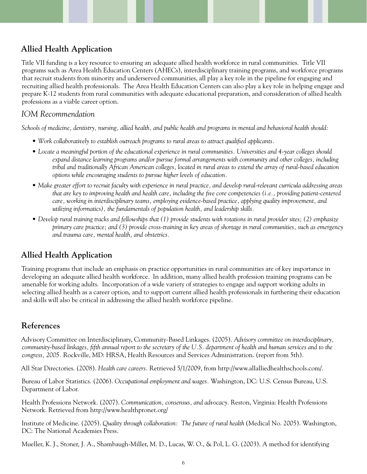## **Allied Health Application**

Title VII funding is a key resource to ensuring an adequate allied health workforce in rural communities. Title VII programs such as Area Health Education Centers (AHECs), interdisciplinary training programs, and workforce programs that recruit students from minority and underserved communities, all play a key role in the pipeline for engaging and recruiting allied health professionals. The Area Health Education Centers can also play a key role in helping engage and prepare K-12 students from rural communities with adequate educational preparation, and consideration of allied health professions as a viable career option.

#### *IOM Recommendation*

*Schools of medicine, dentistry, nursing, allied health, and public health and programs in mental and behavioral health should:*

- *Work collaboratively to establish outreach programs to rural areas to attract qualified applicants.*
- *Locate a meaningful portion of the educational experience in rural communities. Universities and 4-year colleges should expand distance learning programs and/or pursue formal arrangements with community and other colleges, including tribal and traditionally African American colleges, located in rural areas to extend the array of rural-based education options while encouraging students to pursue higher levels of education.*
- *Make greater effort to recruit faculty with experience in rural practice, and develop rural-relevant curricula addressing areas that are key to improving health and health care, including the five core competencies (i.e., providing patient-centered care, working in interdisciplinary teams, employing evidence-based practice, applying quality improvement, and utilizing informatics), the fundamentals of population health, and leadership skills.*
- *Develop rural training tracks and fellowships that (1) provide students with rotations in rural provider sites; (2) emphasize primary care practice; and (3) provide cross-training in key areas of shortage in rural communities, such as emergency and trauma care, mental health, and obstetrics.*

## **Allied Health Application**

Training programs that include an emphasis on practice opportunities in rural communities are of key importance in developing an adequate allied health workforce. In addition, many allied health profession training programs can be amenable for working adults. Incorporation of a wide variety of strategies to engage and support working adults in selecting allied health as a career option, and to support current allied health professionals in furthering their education and skills will also be critical in addressing the allied health workforce pipeline.

## **References**

Advisory Committee on Interdisciplinary, Community-Based Linkages. (2005). *Advisory committee on interdisciplinary, community-based linkages, fifth annual report to the secretary of the U.S. department of health and human services and to the congress, 2005.* Rockville, MD: HRSA, Health Resources and Services Administration. (report from 5th).

All Star Directories. (2008). *Health care careers.* Retrieved 5/1/2009, from http://www.allalliedhealthschools.com/.

Bureau of Labor Statistics. (2006). *Occupational employment and wages.* Washington, DC: U.S. Census Bureau, U.S. Department of Labor.

Health Professions Network. (2007). *Communication, consensus, and advocacy.* Reston, Virginia: Health Professions Network. Retrieved from http://www.healthpronet.org/

Institute of Medicine. (2005). *Quality through collaboration: The future of rural health* (Medical No. 2005). Washington, DC: The National Academies Press.

Mueller, K. J., Stoner, J. A., Shambaugh-Miller, M. D., Lucas, W. O., & Pol, L. G. (2003). A method for identifying